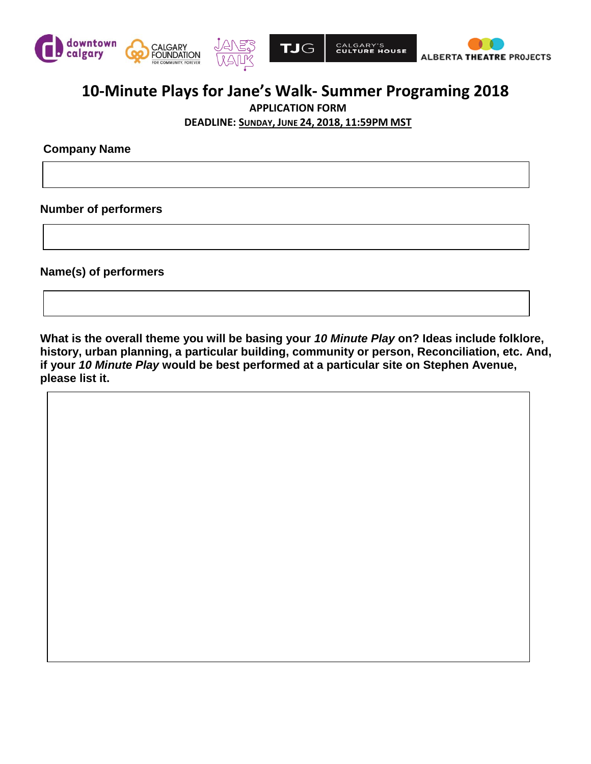



# **10-Minute Plays for Jane's Walk- Summer Programing 2018**

**APPLICATION FORM**

**DEADLINE: SUNDAY, JUNE 24, 2018, 11:59PM MST**

**Company Name**

**Number of performers** 

**Name(s) of performers**

**What is the overall theme you will be basing your** *10 Minute Play* **on? Ideas include folklore, history, urban planning, a particular building, community or person, Reconciliation, etc. And, if your** *10 Minute Play* **would be best performed at a particular site on Stephen Avenue, please list it.**